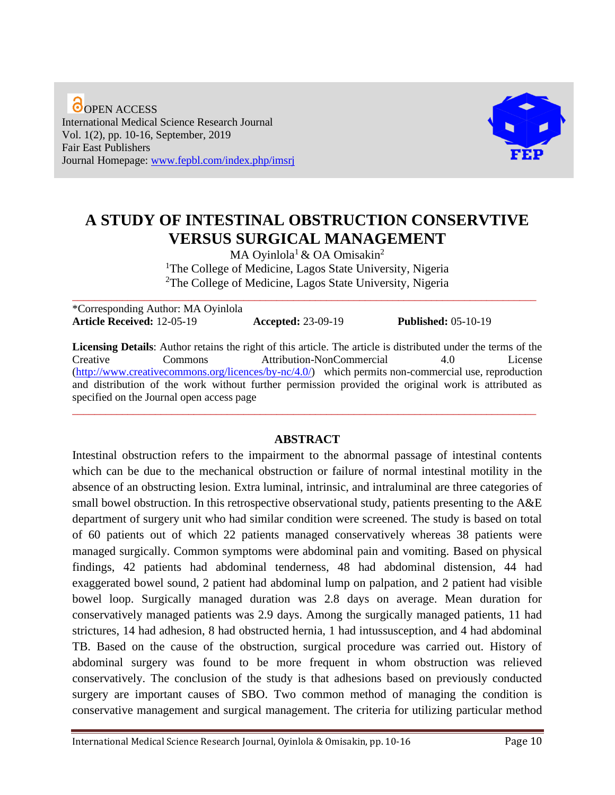O OPEN ACCESS International Medical Science Research Journal Vol. 1(2), pp. 10-16, September, 2019 Fair East Publishers Journal Homepage: [www.fepbl.com/index.php/imsrj](http://www.fepbl.com/index.php/imsrj)



# **A STUDY OF INTESTINAL OBSTRUCTION CONSERVTIVE VERSUS SURGICAL MANAGEMENT**

MA Oyinlola<sup>1</sup> & OA Omisakin<sup>2</sup> <sup>1</sup>The College of Medicine, Lagos State University, Nigeria <sup>2</sup>The College of Medicine, Lagos State University, Nigeria

\*Corresponding Author: MA Oyinlola **Article Received:** 12-05-19 **Accepted:** 23-09-19 **Published:** 05-10-19

\_\_\_\_\_\_\_\_\_\_\_\_\_\_\_\_\_\_\_\_\_\_\_\_\_\_\_\_\_\_\_\_\_\_\_\_\_\_\_\_\_\_\_\_\_\_\_\_\_\_\_\_\_\_\_\_\_\_\_\_\_\_\_\_\_\_\_\_\_\_\_\_\_\_\_\_\_\_\_\_\_\_\_\_

**Licensing Details**: Author retains the right of this article. The article is distributed under the terms of the Creative Commons Attribution-NonCommercial 4.0 License [\(http://www.creativecommons.org/licences/by-nc/4.0/\)](http://www.creativecommons.org/licences/by-nc/4.0/) which permits non-commercial use, reproduction and distribution of the work without further permission provided the original work is attributed as specified on the Journal open access page

#### **ABSTRACT**

\_\_\_\_\_\_\_\_\_\_\_\_\_\_\_\_\_\_\_\_\_\_\_\_\_\_\_\_\_\_\_\_\_\_\_\_\_\_\_\_\_\_\_\_\_\_\_\_\_\_\_\_\_\_\_\_\_\_\_\_\_\_\_\_\_\_\_\_\_\_\_\_\_\_\_\_\_\_\_\_\_\_\_\_

Intestinal obstruction refers to the impairment to the abnormal passage of intestinal contents which can be due to the mechanical obstruction or failure of normal intestinal motility in the absence of an obstructing lesion. Extra luminal, intrinsic, and intraluminal are three categories of small bowel obstruction. In this retrospective observational study, patients presenting to the A&E department of surgery unit who had similar condition were screened. The study is based on total of 60 patients out of which 22 patients managed conservatively whereas 38 patients were managed surgically. Common symptoms were abdominal pain and vomiting. Based on physical findings, 42 patients had abdominal tenderness, 48 had abdominal distension, 44 had exaggerated bowel sound, 2 patient had abdominal lump on palpation, and 2 patient had visible bowel loop. Surgically managed duration was 2.8 days on average. Mean duration for conservatively managed patients was 2.9 days. Among the surgically managed patients, 11 had strictures, 14 had adhesion, 8 had obstructed hernia, 1 had intussusception, and 4 had abdominal TB. Based on the cause of the obstruction, surgical procedure was carried out. History of abdominal surgery was found to be more frequent in whom obstruction was relieved conservatively. The conclusion of the study is that adhesions based on previously conducted surgery are important causes of SBO. Two common method of managing the condition is conservative management and surgical management. The criteria for utilizing particular method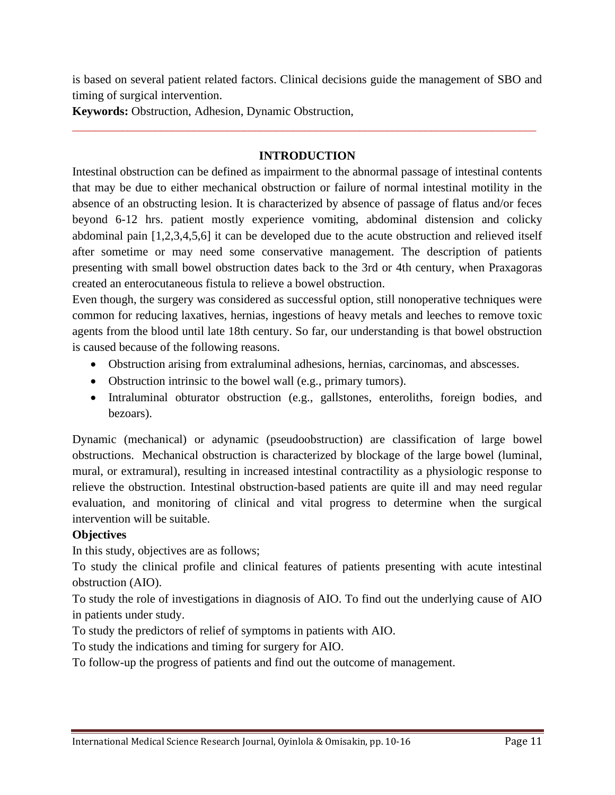is based on several patient related factors. Clinical decisions guide the management of SBO and timing of surgical intervention.

**Keywords:** Obstruction, Adhesion, Dynamic Obstruction,

# **INTRODUCTION**

\_\_\_\_\_\_\_\_\_\_\_\_\_\_\_\_\_\_\_\_\_\_\_\_\_\_\_\_\_\_\_\_\_\_\_\_\_\_\_\_\_\_\_\_\_\_\_\_\_\_\_\_\_\_\_\_\_\_\_\_\_\_\_\_\_\_\_\_\_\_\_\_\_\_\_\_\_\_\_\_\_\_\_\_

Intestinal obstruction can be defined as impairment to the abnormal passage of intestinal contents that may be due to either mechanical obstruction or failure of normal intestinal motility in the absence of an obstructing lesion. It is characterized by absence of passage of flatus and/or feces beyond 6-12 hrs. patient mostly experience vomiting, abdominal distension and colicky abdominal pain [1,2,3,4,5,6] it can be developed due to the acute obstruction and relieved itself after sometime or may need some conservative management. The description of patients presenting with small bowel obstruction dates back to the 3rd or 4th century, when Praxagoras created an enterocutaneous fistula to relieve a bowel obstruction.

Even though, the surgery was considered as successful option, still nonoperative techniques were common for reducing laxatives, hernias, ingestions of heavy metals and leeches to remove toxic agents from the blood until late 18th century. So far, our understanding is that bowel obstruction is caused because of the following reasons.

- Obstruction arising from extraluminal adhesions, hernias, carcinomas, and abscesses.
- Obstruction intrinsic to the bowel wall (e.g., primary tumors).
- Intraluminal obturator obstruction (e.g., gallstones, enteroliths, foreign bodies, and bezoars).

Dynamic (mechanical) or adynamic (pseudoobstruction) are classification of large bowel obstructions. Mechanical obstruction is characterized by blockage of the large bowel (luminal, mural, or extramural), resulting in increased intestinal contractility as a physiologic response to relieve the obstruction. Intestinal obstruction-based patients are quite ill and may need regular evaluation, and monitoring of clinical and vital progress to determine when the surgical intervention will be suitable.

# **Objectives**

In this study, objectives are as follows;

To study the clinical profile and clinical features of patients presenting with acute intestinal obstruction (AIO).

To study the role of investigations in diagnosis of AIO. To find out the underlying cause of AIO in patients under study.

To study the predictors of relief of symptoms in patients with AIO.

To study the indications and timing for surgery for AIO.

To follow-up the progress of patients and find out the outcome of management.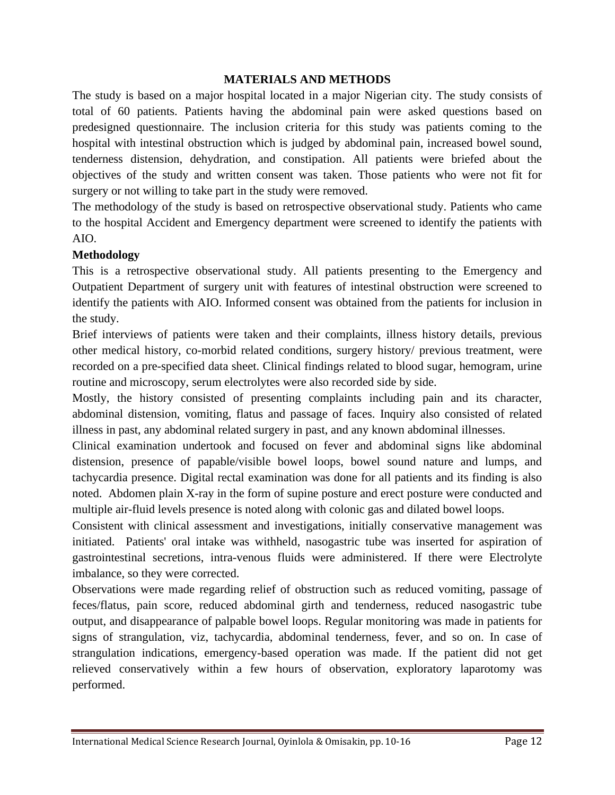## **MATERIALS AND METHODS**

The study is based on a major hospital located in a major Nigerian city. The study consists of total of 60 patients. Patients having the abdominal pain were asked questions based on predesigned questionnaire. The inclusion criteria for this study was patients coming to the hospital with intestinal obstruction which is judged by abdominal pain, increased bowel sound, tenderness distension, dehydration, and constipation. All patients were briefed about the objectives of the study and written consent was taken. Those patients who were not fit for surgery or not willing to take part in the study were removed.

The methodology of the study is based on retrospective observational study. Patients who came to the hospital Accident and Emergency department were screened to identify the patients with AIO.

#### **Methodology**

This is a retrospective observational study. All patients presenting to the Emergency and Outpatient Department of surgery unit with features of intestinal obstruction were screened to identify the patients with AIO. Informed consent was obtained from the patients for inclusion in the study.

Brief interviews of patients were taken and their complaints, illness history details, previous other medical history, co-morbid related conditions, surgery history/ previous treatment, were recorded on a pre-specified data sheet. Clinical findings related to blood sugar, hemogram, urine routine and microscopy, serum electrolytes were also recorded side by side.

Mostly, the history consisted of presenting complaints including pain and its character, abdominal distension, vomiting, flatus and passage of faces. Inquiry also consisted of related illness in past, any abdominal related surgery in past, and any known abdominal illnesses.

Clinical examination undertook and focused on fever and abdominal signs like abdominal distension, presence of papable/visible bowel loops, bowel sound nature and lumps, and tachycardia presence. Digital rectal examination was done for all patients and its finding is also noted. Abdomen plain X-ray in the form of supine posture and erect posture were conducted and multiple air-fluid levels presence is noted along with colonic gas and dilated bowel loops.

Consistent with clinical assessment and investigations, initially conservative management was initiated. Patients' oral intake was withheld, nasogastric tube was inserted for aspiration of gastrointestinal secretions, intra-venous fluids were administered. If there were Electrolyte imbalance, so they were corrected.

Observations were made regarding relief of obstruction such as reduced vomiting, passage of feces/flatus, pain score, reduced abdominal girth and tenderness, reduced nasogastric tube output, and disappearance of palpable bowel loops. Regular monitoring was made in patients for signs of strangulation, viz, tachycardia, abdominal tenderness, fever, and so on. In case of strangulation indications, emergency-based operation was made. If the patient did not get relieved conservatively within a few hours of observation, exploratory laparotomy was performed.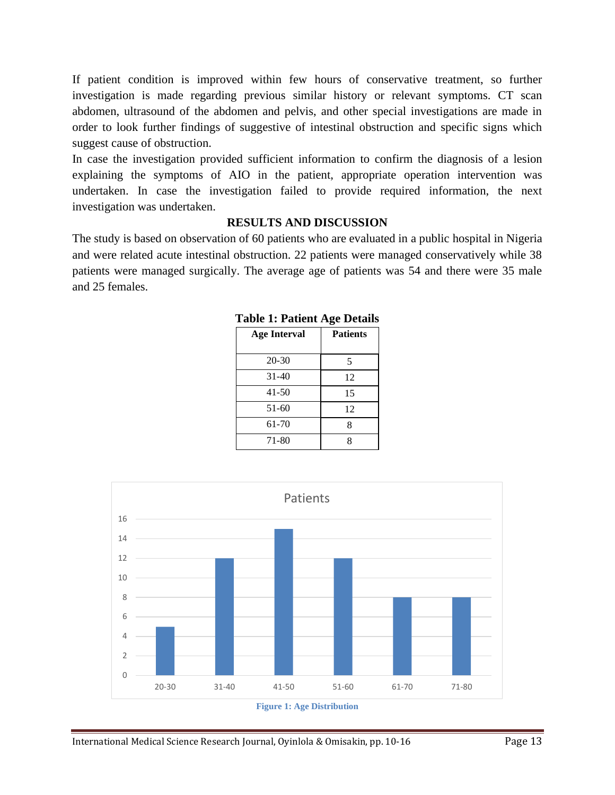If patient condition is improved within few hours of conservative treatment, so further investigation is made regarding previous similar history or relevant symptoms. CT scan abdomen, ultrasound of the abdomen and pelvis, and other special investigations are made in order to look further findings of suggestive of intestinal obstruction and specific signs which suggest cause of obstruction.

In case the investigation provided sufficient information to confirm the diagnosis of a lesion explaining the symptoms of AIO in the patient, appropriate operation intervention was undertaken. In case the investigation failed to provide required information, the next investigation was undertaken.

### **RESULTS AND DISCUSSION**

The study is based on observation of 60 patients who are evaluated in a public hospital in Nigeria and were related acute intestinal obstruction. 22 patients were managed conservatively while 38 patients were managed surgically. The average age of patients was 54 and there were 35 male and 25 females.

| <b>Age Interval</b> | <b>Patients</b> |  |  |
|---------------------|-----------------|--|--|
| $20 - 30$           | 5               |  |  |
| $31 - 40$           | 12              |  |  |
| 41-50               | 15              |  |  |
| 51-60               | 12              |  |  |
| 61-70               | 8               |  |  |
| 71-80               | 8               |  |  |
|                     |                 |  |  |

**Table 1: Patient Age Details**



International Medical Science Research Journal, Oyinlola & Omisakin, pp. 10-16 Page 13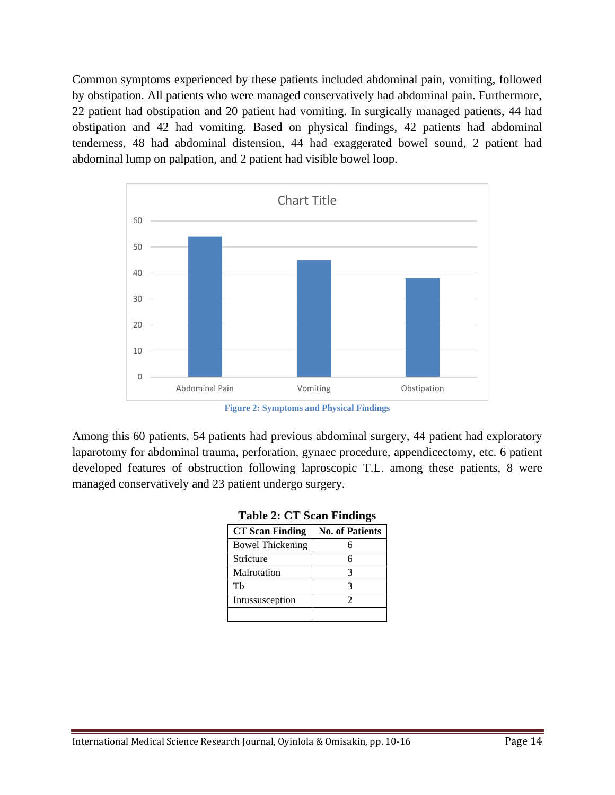Common symptoms experienced by these patients included abdominal pain, vomiting, followed by obstipation. All patients who were managed conservatively had abdominal pain. Furthermore, 22 patient had obstipation and 20 patient had vomiting. In surgically managed patients, 44 had obstipation and 42 had vomiting. Based on physical findings, 42 patients had abdominal tenderness, 48 had abdominal distension, 44 had exaggerated bowel sound, 2 patient had abdominal lump on palpation, and 2 patient had visible bowel loop.



**Figure 2: Symptoms and Physical Findings**

Among this 60 patients, 54 patients had previous abdominal surgery, 44 patient had exploratory laparotomy for abdominal trauma, perforation, gynaec procedure, appendicectomy, etc. 6 patient developed features of obstruction following laproscopic T.L. among these patients, 8 were managed conservatively and 23 patient undergo surgery.

| <b>CT</b> Scan Finding  | <b>No. of Patients</b> |  |
|-------------------------|------------------------|--|
| <b>Bowel Thickening</b> |                        |  |
| Stricture               |                        |  |
| Malrotation             |                        |  |
| Th                      |                        |  |
| Intussusception         |                        |  |
|                         |                        |  |

|  | <b>Table 2: CT Scan Findings</b> |
|--|----------------------------------|
|  |                                  |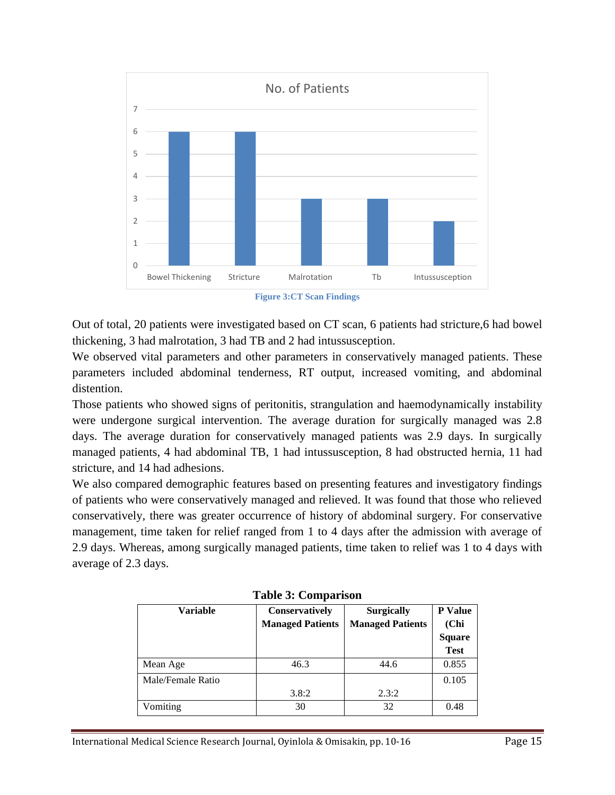

**Figure 3:CT Scan Findings**

Out of total, 20 patients were investigated based on CT scan, 6 patients had stricture,6 had bowel thickening, 3 had malrotation, 3 had TB and 2 had intussusception.

We observed vital parameters and other parameters in conservatively managed patients. These parameters included abdominal tenderness, RT output, increased vomiting, and abdominal distention.

Those patients who showed signs of peritonitis, strangulation and haemodynamically instability were undergone surgical intervention. The average duration for surgically managed was 2.8 days. The average duration for conservatively managed patients was 2.9 days. In surgically managed patients, 4 had abdominal TB, 1 had intussusception, 8 had obstructed hernia, 11 had stricture, and 14 had adhesions.

We also compared demographic features based on presenting features and investigatory findings of patients who were conservatively managed and relieved. It was found that those who relieved conservatively, there was greater occurrence of history of abdominal surgery. For conservative management, time taken for relief ranged from 1 to 4 days after the admission with average of 2.9 days. Whereas, among surgically managed patients, time taken to relief was 1 to 4 days with average of 2.3 days.

| <b>Variable</b>   | <b>Conservatively</b>   | <b>Surgically</b>       | <b>P</b> Value |  |  |
|-------------------|-------------------------|-------------------------|----------------|--|--|
|                   | <b>Managed Patients</b> | <b>Managed Patients</b> | (Chi)          |  |  |
|                   |                         |                         | <b>Square</b>  |  |  |
|                   |                         |                         | <b>Test</b>    |  |  |
| Mean Age          | 46.3                    | 44.6                    | 0.855          |  |  |
| Male/Female Ratio |                         |                         | 0.105          |  |  |
|                   | 3.8:2                   | 2.3:2                   |                |  |  |
| Vomiting          | 30                      | 32                      | 0.48           |  |  |

**Table 3: Comparison**